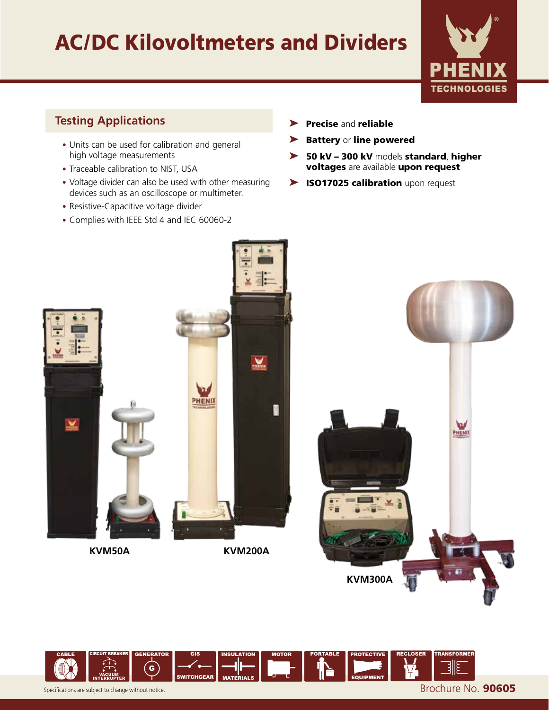# AC/DC Kilovoltmeters and Dividers



## **Testing Applications**

- Units can be used for calibration and general high voltage measurements
- Traceable calibration to NIST, USA
- Voltage divider can also be used with other measuring devices such as an oscilloscope or multimeter.
- Resistive-Capacitive voltage divider
- Complies with IEEE Std 4 and IEC 60060-2
- ▶ Precise and reliable
- ➤ Battery or line powered
- ➤ 50 kV 300 kV models standard, higher voltages are available upon request
- ▶ ISO17025 calibration upon request



**KVM50A**

**KVM200A**



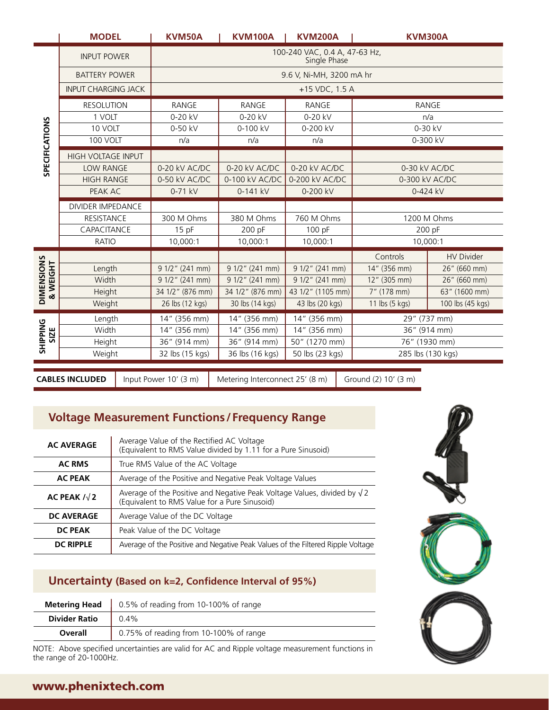|                               | <b>MODEL</b>                 |      | KVM50A                                        | <b>KVM100A</b>                                                                                   | <b>KVM200A</b>                       | <b>KVM300A</b>                |                                   |  |
|-------------------------------|------------------------------|------|-----------------------------------------------|--------------------------------------------------------------------------------------------------|--------------------------------------|-------------------------------|-----------------------------------|--|
|                               | <b>INPUT POWER</b>           |      | 100-240 VAC, 0.4 A, 47-63 Hz,<br>Single Phase |                                                                                                  |                                      |                               |                                   |  |
|                               | <b>BATTERY POWER</b>         |      | 9.6 V, Ni-MH, 3200 mA hr                      |                                                                                                  |                                      |                               |                                   |  |
|                               | <b>INPUT CHARGING JACK</b>   |      | +15 VDC, 1.5 A                                |                                                                                                  |                                      |                               |                                   |  |
|                               | <b>RESOLUTION</b>            |      | RANGE<br><b>RANGE</b><br><b>RANGE</b>         |                                                                                                  |                                      | <b>RANGE</b>                  |                                   |  |
|                               | 1 VOLT                       |      | 0-20 kV                                       | 0-20 kV                                                                                          | 0-20 kV                              |                               | n/a                               |  |
| <b>SPECIFICATIONS</b>         | 10 VOLT                      |      | 0-50 kV                                       | 0-100 kV                                                                                         | 0-200 kV                             |                               | 0-30 kV                           |  |
|                               | 100 VOLT                     |      | n/a                                           | n/a                                                                                              | n/a                                  |                               | 0-300 kV                          |  |
|                               | <b>HIGH VOLTAGE INPUT</b>    |      |                                               |                                                                                                  |                                      |                               |                                   |  |
|                               | <b>LOW RANGE</b>             |      | 0-20 kV AC/DC<br>0-50 kV AC/DC                | 0-20 kV AC/DC<br>0-100 kV AC/DC                                                                  | 0-20 kV AC/DC<br>0-200 kV AC/DC      |                               | 0-30 kV AC/DC<br>0-300 kV AC/DC   |  |
|                               | <b>HIGH RANGE</b><br>PEAK AC |      | 0-71 kV                                       | 0-141 kV                                                                                         | 0-200 kV                             |                               | 0-424 kV                          |  |
|                               | <b>DIVIDER IMPEDANCE</b>     |      |                                               |                                                                                                  |                                      |                               |                                   |  |
|                               | <b>RESISTANCE</b>            |      | 300 M Ohms                                    | 380 M Ohms                                                                                       | 760 M Ohms                           |                               | 1200 M Ohms                       |  |
|                               | CAPACITANCE                  |      | 15pF                                          | 200 pF                                                                                           | 100 pF                               |                               | 200 pF                            |  |
|                               | <b>RATIO</b>                 |      | 10,000:1                                      | 10,000:1                                                                                         | 10,000:1                             |                               | 10,000:1                          |  |
|                               |                              |      |                                               |                                                                                                  |                                      | Controls                      | <b>HV Divider</b>                 |  |
|                               | Length                       |      | 9 1/2" (241 mm)                               | 9 1/2" (241 mm)                                                                                  | 9 1/2" (241 mm)                      | 14" (356 mm)                  | 26" (660 mm)                      |  |
| <b>DIMENSIONS</b><br>& WEIGHT | Width                        |      | 9 1/2" (241 mm)                               | 9 1/2" (241 mm)                                                                                  | 9 1/2" (241 mm)                      | 12" (305 mm)                  | 26" (660 mm)                      |  |
|                               | Height<br>Weight             |      | 34 1/2" (876 mm)<br>26 lbs (12 kgs)           | 34 1/2" (876 mm)<br>30 lbs (14 kgs)                                                              | 43 1/2" (1105 mm)<br>43 lbs (20 kgs) | 7" (178 mm)<br>11 lbs (5 kgs) | 63" (1600 mm)<br>100 lbs (45 kgs) |  |
|                               | Length                       |      | 14" (356 mm)                                  | 14" (356 mm)                                                                                     | 14" (356 mm)                         |                               | 29" (737 mm)                      |  |
| <b>SHIPPING</b><br>SIZE       | Width                        |      | 14" (356 mm)                                  | 14" (356 mm)                                                                                     | 14" (356 mm)                         |                               | 36" (914 mm)                      |  |
|                               | Height                       |      | 36" (914 mm)                                  | 36" (914 mm)                                                                                     | 50" (1270 mm)                        |                               | 76" (1930 mm)                     |  |
|                               | Weight                       |      | 32 lbs (15 kgs)                               | 36 lbs (16 kgs)                                                                                  | 50 lbs (23 kgs)                      | 285 lbs (130 kgs)             |                                   |  |
|                               |                              |      |                                               |                                                                                                  |                                      |                               |                                   |  |
|                               | <b>CABLES INCLUDED</b>       |      | Input Power 10' (3 m)                         | Metering Interconnect 25' (8 m)                                                                  |                                      | Ground (2) 10' (3 m)          |                                   |  |
|                               |                              |      |                                               |                                                                                                  |                                      |                               |                                   |  |
|                               |                              |      |                                               |                                                                                                  |                                      |                               |                                   |  |
|                               |                              |      |                                               | <b>Voltage Measurement Functions/Frequency Range</b>                                             |                                      |                               |                                   |  |
|                               | <b>AC AVERAGE</b>            |      | Average Value of the Rectified AC Voltage     | (Equivalent to RMS Value divided by 1.11 for a Pure Sinusoid)                                    |                                      |                               |                                   |  |
|                               | <b>AC RMS</b>                |      | True RMS Value of the AC Voltage              |                                                                                                  |                                      |                               |                                   |  |
|                               | <b>AC PEAK</b>               |      |                                               | Average of the Positive and Negative Peak Voltage Values                                         |                                      |                               |                                   |  |
|                               | AC PEAK $1/\sqrt{2}$         |      | (Equivalent to RMS Value for a Pure Sinusoid) | Average of the Positive and Negative Peak Voltage Values, divided by $\sqrt{2}$                  |                                      |                               |                                   |  |
|                               | <b>DC AVERAGE</b>            |      | Average Value of the DC Voltage               |                                                                                                  |                                      |                               |                                   |  |
|                               | <b>DC PEAK</b>               |      | Peak Value of the DC Voltage                  |                                                                                                  |                                      |                               |                                   |  |
|                               | <b>DC RIPPLE</b>             |      |                                               | Average of the Positive and Negative Peak Values of the Filtered Ripple Voltage                  |                                      |                               |                                   |  |
|                               |                              |      |                                               |                                                                                                  |                                      |                               |                                   |  |
|                               |                              |      |                                               | Uncertainty (Based on k=2, Confidence Interval of 95%)                                           |                                      |                               |                                   |  |
|                               | <b>Metering Head</b>         |      | 0.5% of reading from 10-100% of range         |                                                                                                  |                                      |                               |                                   |  |
|                               | <b>Divider Ratio</b>         | 0.4% |                                               |                                                                                                  |                                      |                               |                                   |  |
|                               | Overall                      |      | 0.75% of reading from 10-100% of range        |                                                                                                  |                                      |                               |                                   |  |
|                               | the range of 20-1000Hz.      |      |                                               | NOTE: Above specified uncertainties are valid for AC and Ripple voltage measurement functions in |                                      |                               |                                   |  |
|                               |                              |      |                                               |                                                                                                  |                                      |                               |                                   |  |

# **Voltage Measurement Functions/Frequency Range**

| <b>AC AVERAGE</b>    | Average Value of the Rectified AC Voltage<br>(Equivalent to RMS Value divided by 1.11 for a Pure Sinusoid)                       |  |  |  |
|----------------------|----------------------------------------------------------------------------------------------------------------------------------|--|--|--|
| <b>AC RMS</b>        | True RMS Value of the AC Voltage                                                                                                 |  |  |  |
| <b>AC PEAK</b>       | Average of the Positive and Negative Peak Voltage Values                                                                         |  |  |  |
| AC PEAK $1/\sqrt{2}$ | Average of the Positive and Negative Peak Voltage Values, divided by $\sqrt{2}$<br>(Equivalent to RMS Value for a Pure Sinusoid) |  |  |  |
| DC AVERAGE           | Average Value of the DC Voltage                                                                                                  |  |  |  |
| DC PEAK              | Peak Value of the DC Voltage                                                                                                     |  |  |  |
| <b>DC RIPPLE</b>     | Average of the Positive and Negative Peak Values of the Filtered Ripple Voltage                                                  |  |  |  |

# **Uncertainty (Based on k=2, Confidence Interval of 95%)**

|                      | <b>Metering Head</b> $\begin{vmatrix} 0.5\% & 0 \end{vmatrix}$ reading from 10-100% of range |  |  |  |
|----------------------|----------------------------------------------------------------------------------------------|--|--|--|
| <b>Divider Ratio</b> | $10.4\%$                                                                                     |  |  |  |
| Overall              | 0.75% of reading from 10-100% of range                                                       |  |  |  |



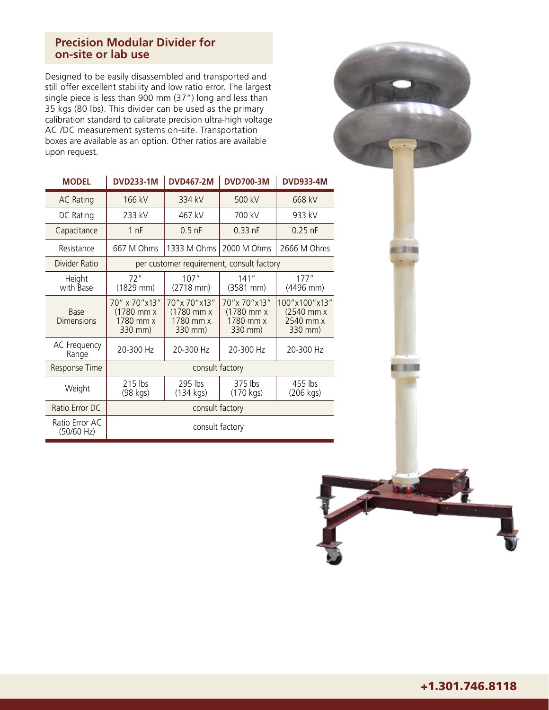#### **Precision Modular Divider for on-site or lab use**

Designed to be easily disassembled and transported and still offer excellent stability and low ratio error. The largest single piece is less than 900 mm (37") long and less than 35 kgs (80 lbs). This divider can be used as the primary calibration standard to calibrate precision ultra-high voltage AC /DC measurement systems on-site. Transportation boxes are available as an option. Other ratios are available upon request.



 $-112$ 

0 0 0 0

| <b>MODEL</b>                     | <b>DVD233-1M</b>                                      | <b>DVD467-2M</b>                                   | <b>DVD700-3M</b>                                      | <b>DVD933-4M</b>                                    |  |  |
|----------------------------------|-------------------------------------------------------|----------------------------------------------------|-------------------------------------------------------|-----------------------------------------------------|--|--|
| <b>AC Rating</b>                 | 166 kV                                                | 334 kV                                             | 500 kV                                                | 668 kV                                              |  |  |
| DC Rating                        | 233 kV                                                | 467 kV                                             | 700 kV                                                | 933 kV                                              |  |  |
| Capacitance                      | 1 <sub>nF</sub>                                       | $0.5$ nF                                           | $0.33$ nF                                             | $0.25$ nF                                           |  |  |
| Resistance                       | 667 M Ohms                                            | 1333 M Ohms                                        | 2000 M Ohms                                           | 2666 M Ohms                                         |  |  |
| Divider Ratio                    | per customer requirement, consult factory             |                                                    |                                                       |                                                     |  |  |
| Height<br>with Base              | 72"<br>(1829 mm)                                      | 107''<br>(2718 mm)                                 | 141''<br>$(3581 \, \text{mm})$                        | 177"<br>(4496 mm)                                   |  |  |
| <b>Base</b><br><b>Dimensions</b> | 70" x 70" x 13"<br>(1780 mm x<br>1780 mm x<br>330 mm) | 70"x 70"x13"<br>(1780 mm x<br>1780 mm x<br>330 mm) | 70" x 70" x 13"<br>(1780 mm x<br>1780 mm x<br>330 mm) | 100"x100"x13"<br>(2540 mm x<br>2540 mm x<br>330 mm) |  |  |
| AC Frequency<br>Range            | 20-300 Hz                                             | 20-300 Hz                                          | 20-300 Hz                                             | 20-300 Hz                                           |  |  |
| Response Time                    | consult factory                                       |                                                    |                                                       |                                                     |  |  |
| Weight                           | 215 lbs<br>(98 kgs)                                   | 295 lbs<br>(134 kgs)                               | 375 lbs<br>(170 kgs)                                  | 455 lbs<br>(206 kgs)                                |  |  |
| Ratio Error DC                   | consult factory                                       |                                                    |                                                       |                                                     |  |  |
| Ratio Error AC<br>(50/60 Hz)     | consult factory                                       |                                                    |                                                       |                                                     |  |  |